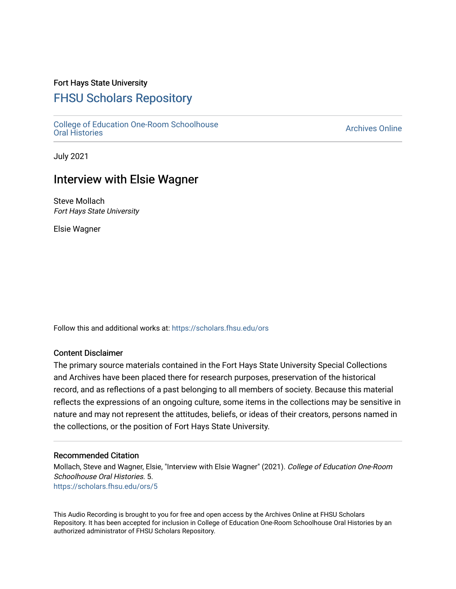### Fort Hays State University

# [FHSU Scholars Repository](https://scholars.fhsu.edu/)

[College of Education One-Room Schoolhouse](https://scholars.fhsu.edu/ors)<br>Oral Histories College of Education Orle-Room Schoolhouse<br>[Oral Histories](https://scholars.fhsu.edu/ors) Archives Online

July 2021

## Interview with Elsie Wagner

Steve Mollach Fort Hays State University

Elsie Wagner

Follow this and additional works at: [https://scholars.fhsu.edu/ors](https://scholars.fhsu.edu/ors?utm_source=scholars.fhsu.edu%2Fors%2F5&utm_medium=PDF&utm_campaign=PDFCoverPages) 

#### Content Disclaimer

The primary source materials contained in the Fort Hays State University Special Collections and Archives have been placed there for research purposes, preservation of the historical record, and as reflections of a past belonging to all members of society. Because this material reflects the expressions of an ongoing culture, some items in the collections may be sensitive in nature and may not represent the attitudes, beliefs, or ideas of their creators, persons named in the collections, or the position of Fort Hays State University.

#### Recommended Citation

Mollach, Steve and Wagner, Elsie, "Interview with Elsie Wagner" (2021). College of Education One-Room Schoolhouse Oral Histories. 5. [https://scholars.fhsu.edu/ors/5](https://scholars.fhsu.edu/ors/5?utm_source=scholars.fhsu.edu%2Fors%2F5&utm_medium=PDF&utm_campaign=PDFCoverPages) 

This Audio Recording is brought to you for free and open access by the Archives Online at FHSU Scholars Repository. It has been accepted for inclusion in College of Education One-Room Schoolhouse Oral Histories by an authorized administrator of FHSU Scholars Repository.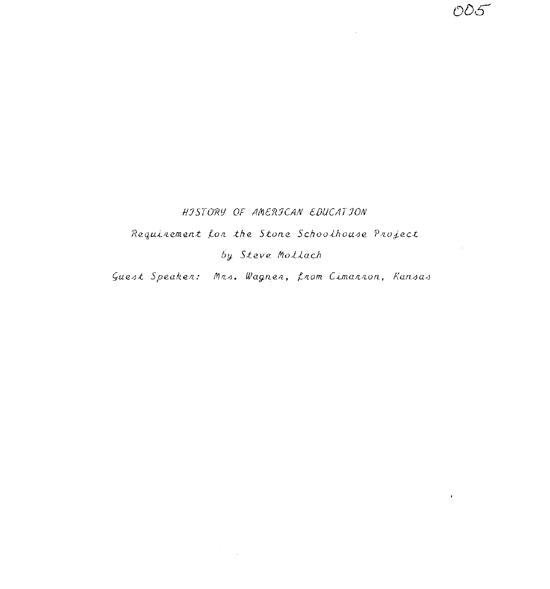### HISTORY OF AMERICAN EDUCATION

 $\sim 100$ 

 $\mathbf{r} = \mathbf{r}$ 

Requirement for the Stone Schoolhouse Project

by Steve Mollach

Guest Speaker: Mrs. Wagner, from Cimannon, Kansas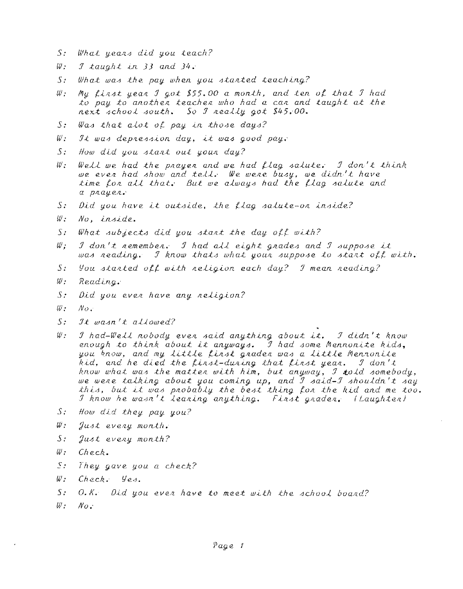- What years did you teach?  $S_{\mathcal{F}}$
- $W$ : I taught in 33 and  $34$ .
- $S_{\mathcal{F}}$ What was the pay when you started teaching?
- My first year I got \$55.00 a month, and ten of that I had  $w$ . to pay to another teacher who had a car and taught at the next school south. So I really got \$45,00.
- Was that alot of pay in those days?  $S$ :
- $w$ . It was depression day, it was good pay.
- $5:$ How did you start out your day?
- Well we had the prayer and we had flag salute: I don't think  $W$ : we even had show and tell. We wene busy, we didn't have time for all that. But we always had the flag salute and а рлацел.
- $S$ : Did you have it outside, the flag salute-on inside?
- $w_{\mathcal{I}}$ No, inside.
- $S_{\mathcal{I}}$ What subjects did you start the day off with?
- $W$  :  $\mathcal I$  don't remember. I had all eight grades and I suppose it was reading. I know thats what your suppose to start off with.
- $S$ : You started off with religion each day? I mean reading?
- $w_{\cdot}$ Reading.
- $S$ . Did you even have any neligion?
- $w$ .  $N_{O}$ .
- $S_{\mathcal{I}}$ It wasn't allowed?
- $w$ : I had-Well nobody even said anything about it. I didn't know enough to think about it anyways. I had some Mennonite kids, you know, and my little finst grader was a little Mennonite kid, and he died the finst-duning that finst year. I don't know what was the matter with him, but anyway, I told somebody, we were talking about you coming up, and I said-I shouldn't say this, but it was probably the best thing for the kid and me too. I know he wasn't leaning anything. Finst graden, (Laughten)
- S: How did they pay you?
- $w$ . Just every month.
- $S_{\tau}$ Just every month?
- $W$  :  $Check.$
- $S_{\pm}$ They gave you a check?
- $W_{\mathcal{I}}$ Check. Yes.
- $S$ :  $0.8.$  Did you ever have to meet with the school board?
- $W$  :  $N_{O}$ .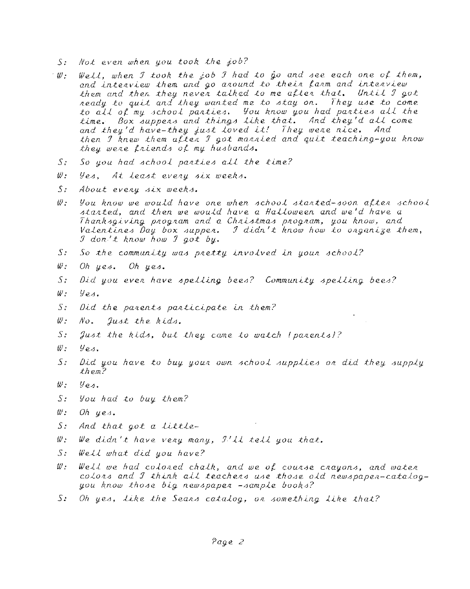- Not even when you took the job?  $S \cdot$
- Well, when I took the job I had to  $\hat{g}$  and see each one of them,  $\mathbb{Z}/\mathbb{Z}$ and interview them and go around to their farm and interview them and then they neven talked to me after that. Until I got neady to quit and they wanted me to stay on. They use to come to all of my school parties. You know you had parties all the time. Box suppers and things like that. And they'd all come<br>and they'd have-they just loved it! They were nice. And then I knew them after I got married and quit teaching-you know they were friends of my husbands.
- So you had school parties all the time?  $S$ :
- $w$ . yes. At least every six weeks.
- $S$ : About every six weeks.
- You know we would have one when school started-soon after school  $w$  . started, and then we would have a Halloween and we'd have a Thanksgiving program and a Christmas program, you know, and Valentines Day box supper. I didn't know how to enganize them, I don't know how I got by.
- $S$ : So the community was pretty involved in your school?
- $W$  : Oh yes. Oh yes.
- $S$ : Did you even have spelling bees? Community spelling bees?
- $W_{\pm}$  $y_{e4}$ .
- $S$ . Did the parents participate in them?
- $w_{\cdot}$ No. Just the kids.
- $S$ : Just the kids, but they came to watch (parents)?
- $w$ .  $y_{\rho\Lambda}$
- $S_{\mathcal{I}}$ Did you have to buy your own school supplies or did they supply  $th$ em?
- ₩.  $y_{es.}$
- You had to buy them?  $S_{\mathcal{I}}$
- $w$  . Oh  $ues.$
- $S$ : And that got a little-
- (//: We didn't have very many,  $J'/L$  tell you that.
- $S$ .  $WelL$  what did you have?
- $W$  . Well we had colored chalk, and we of course crayons, and water colors and I think all teachers use those old newspaper-catalogyou know those big newspaper -sample books?
- $5:$ Oh yes, like the Seans catalog, on something like that?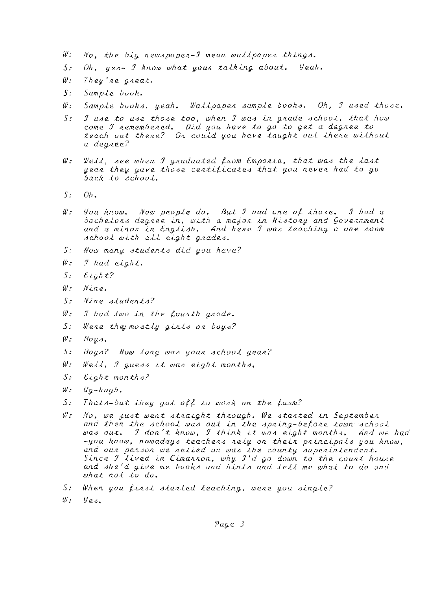- $w:$  $No,$  the big newspaper- $J$  mean wallpaper things.
- $\overline{S}$ :  $Oh$ , yes-  $I$  know what your talking about.  $\mathcal{Y}$ eah.
- $W$ : They're great.
- $S$ : Sample book.
- Sample books, yeah. Wallpaper sample books. Oh, I used those.  $W^{\perp}$
- I use to use those too, when I was in grade school, that how  $S$ : come I nemembered. Did you have to go to get a degree to teach out there? Or could you have taught out there without  $a \ deg$ *nee*?
- W: Well, see when I graduated from Emporia, that was the last year they gave those certificates that you never had to go back to school.
- $S_{\pm}$  $Oh.$
- You know. Now people do. But I had one of those. I had a<br>bachelons degnee in, with a majon in Histony and Govennment  $W$  : and a minor in English. And here I was teaching a one room school with all eight grades.
- $5:$ How many students did you have?
- $w$  :  $I$  had eight.
- $S$ :  $E \iota g h t$ ?
- $w_{\pm}$ Nine.
- $S$ : Nine students?
- $W$  : I had two in the Lourth grade.
- $S:$ Were they mostly girls on boys?
- $\psi$ .  $\beta$ oys.
- $5:$ Boys? How long was your school year?
- $W$  :  $Weld$ , I guess it was eight months.
- $S:$  ${\cal E}$ ight months?
- $W$  :  $Uq-huqh.$
- $S$ : Thats-but they got off to work on the farm?
- $Wz$ No, we just went straight through. We started in September and then the school was out in the spring-before town school was out. I don't know, I think it was eight months. And we had  $-y$ ou know, nowadays teachers rely on their principals you know, and our person we relied on was the county superintendent. Since I lived in Cimannon, why I'd go down to the count house and she'd give me books and hints and tell me what to do and  $what not to do.$
- S: When you first started teaching, were you single?
- $W$  :  $y_{eA}$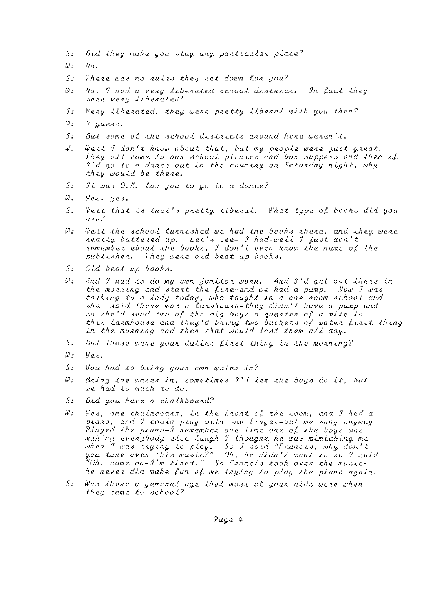- Did they make you stay any particular place?  $S$ :
- W - $N_{0}$ .
- $\overline{\mathcal{S}}$ : There was no rules they set down for you?
- $W$  : No, I had a very liberated school district. In fact-they were very liberated!
- $\mathcal{S}$ : Very liberated, they were pretty liberal with you then?
- $w$  :  $\mathcal I$  quess.
- $S$ . But some of the school districts around here weren't.
- $W$  : Well I don't know about that, but my people were just great. They all came to our school picnics and box suppers and then if I'd go to a dance out in the country on Saturday night, why they would be there.
- $S$ : It was  $0, K$ . for you to go to a dance?
- $\omega$  :  $y_{e3}$ , yes.
- $S:$ Well that is-that's pretty liberal. What type of books did you  $\mu$ <sub>d</sub>e?
- Well the school furnished-we had the books there, and they were  $w$  : really battered up. Let's see- I had-well I just don't<br>remember about the books, I don't even know the name of the publisher. They were old beat up books.
- $S$ : Old beat up books.
- And I had to do my own janitor work. And I'd get out there in  $W$  : the monning and stant the fine-and we had a pump. Now I was talking to a lady today, who taught in a one noom school and she said there was a farmhouse-they didn't have a pump and so she'd send two of the big boys a quanter of a mile to<br>this farmhouse and they'd bring two buckets of water first thing in the monning and then that would last them all day.
- $S:$ But those were your duties first thing in the morning?
- W:  $y_{es.}$
- $\mathcal{S}$ : You had to bring your own water in?
- W . Bring the water in, sometimes  $1'd$  let the boys do it, but we had to much to do.
- Did you have a chalkboard?  $S$ :
- $W$  : Yes, one chalkboard, in the front of the room, and I had a piano, and I could play with one finger-but we sang anyway.<br>Played the piano-I remember one time one of the boys was making everybody else laugh-I thought he was mimicking me when I was trying to play. So I said "Francis, why don't<br>you take over this music?" Oh, he didn't want to so I said<br>"Oh, come on-I'm tired." So Francis took over the musiche neven did make fun of me trying to play the piano again.
- $S:$ Was there a general age that most of your kids were when they came to school?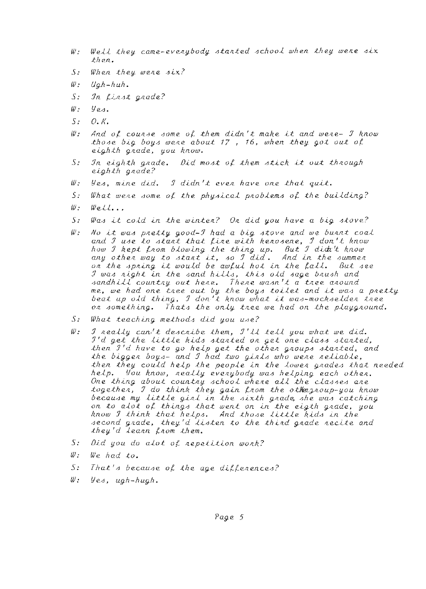- Well they came-everybody started school when they were six  $w_{\mathcal{I}}$  $then.$
- $5:$ When they were  $4ix$ ?
- $w_{\pm}$  $U_0h-huh.$
- In first grade?  $S$ :
- $W$ .  $y_{es}$
- $S$ :  $O, K$
- $W$  : And of course some of them didn't make it and were- I know those big boys were about  $17$ ,  $16$ , when they got out of eighth grade, you know.
- $S$ : In eighth grade. Did most of them stick it out through  $eighth$  and  $e$ ?
- $\mathscr{W}$  : yes, mine did. I didn't even have one that quit.
- $S$ . What were some of the physical problems of the building?
- $W$  :  $W$ ell...
- $\overline{S}$ Was it cold in the winter? On did you have a big stove?
- $w$ . No it was pretty good-I had a big stove and we burnt coal and I use to start that fire with kerosene, I don't know how I kept from blowing the thing up. But I didi't know any other way to start it, so I did. And in the summer on the spring it would be awful hot in the fall. But see I was night in the sand hills, this old sage brush and sandhill country out here. There wasn't a tree around<br>me, we had one tree out by the boys toilet and it was a pretty<br>beat up old thing, I don't know what it was-mockselder tree on something. Thats the only tree we had on the playground.
- $S^{\perp}$ What teaching methods did you use?
- I neally can't describe them, I'll tell you what we did.  $w$  :  $I'd$  get the little kids stanted on get one class stanted, then I'd have to go help get the other groups started, and the bigger boys- and I had two girls who were reliable, then they could help the people in the lower grades that needed help. You know, neally evenybody was helping each othen.<br>One thing about countny school where all the classes are together, I do think they gain from the other proup-you know<br>because my little girl in the sixth grade, she was catching on to alot of things that went on in the eigth grade, you know I think that helps. And those little kids in the second grade, they'd listen to the third grade recite and they'd learn from them.
- $S_{\rm{S}}$ Did you do alot of repetition work?
- $w_{\tau}$ We had to.
- $S:$ That's because of the age differences?
- $W$  .  $y_{e_4}$ , ugh-hugh.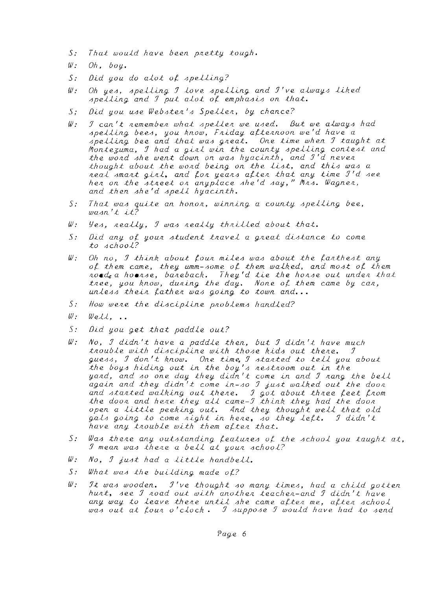- *5: That would have been pnetty tough,*
- *W: Oh, boy.*
- *S: Did you do alot of spelling?*
- $W:$  Oh yes, spelling I love spelling and I've always liked *<u><i>Apelling and I put alot of emphasis on that.*</u>
- 5; *Did you uJe WebJten'J 5peLLen, by chance?*
- *W: J can't nememben what JpeLLen we uJed. But we aLwayJ had JpeLLing* beeJ, *you know, Fniday attennoon we'd have a Jpelling bee and that was great.* One time when I taught at *Monte3uma, J had a ginL win the county JpeLLing conteJt and the wand Jhe went down on waJ hyacinth, and J'd neven*  thought about the word being on the *List*, and this was a *neaL Jmant ginL, and ton yeanJ atten that any time J'd* Jee *hen on the Jtneet on anyplace Jhe'd Jay," MnJ. Wagnen, and then Jhe'd JpeLL hyacinth.*
- *S:* That was quite an honon, winning a county spelling bee, **wa/Jn** *';t* **i\_;t?**
- *W: YeJ, neaLLy, J waJ neaLLy thniLLed about that.*
- *5: Did any ot youn Jtudent tnaveL a gneat diJtance to come to JchooL?*
- *W:* Oh no, I think about four miles was about the farthest any of them came, they umm-some of them walked, and most of them *noed,a hoe/lJe, ba/leback. They'd tie the honJe out unden that*  tree, you know, during the day. None of them came by car, unless their father was going to town and...
- $S:$  How were the discipline problems handled?
- *W: Well,*
- *S: Did you get that paddle out?*
- *W: No, J didn't have a paddle then, but J didn't have much*  trouble with discipline with those kids out there. I guess, I don't know. One time, I stanted to tell you about the boys hiding out in the boy's nestnoom out in the *yand, and* JO *one day they didn't come in and J /lang the bell again and they didn't come in-Jo J juJt walked out the doon*  and started walking out there. I got about three feet from *the doon and hene they all came-J think they had the doon open a Little peeking out. 4nd they thought well that old gaLJ going to come night in hene,* JO *they Lett. J didn't have any tnoubLe with them atten that.*
- *5:* Was there any outstanding features of the school you taught at, *J* mean was there a bell at your school?
- *W: No, J juJt had a Little handbeLL.*
- *5:* What was the building made of?
- *W: It was wooden. I've thought so many times, had a child gotten hunt,* Jee *J noad out with anothe/l teachen-and J didn't have any way to Leave thene until Jhe came atten me, atte/l JchooL waJ out at toun o'clock. J JuppoJe J would have had to Jend*